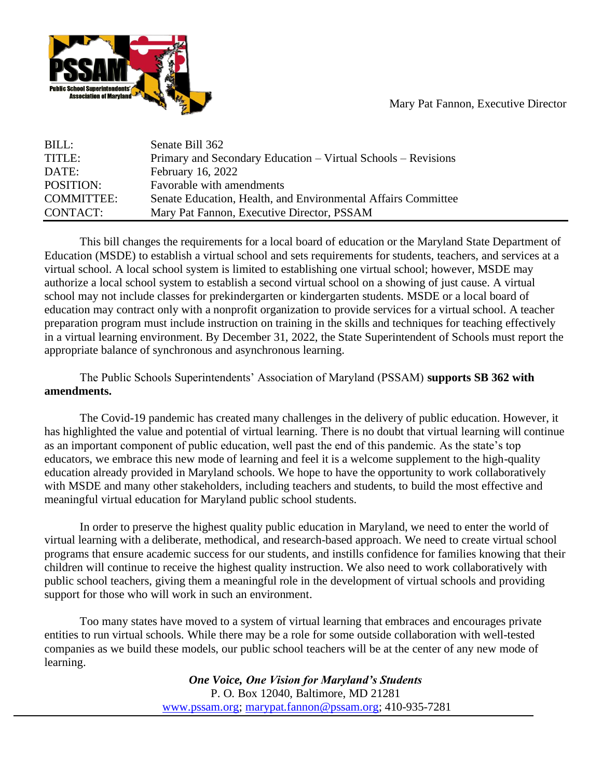

Mary Pat Fannon, Executive Director

| BILL:             | Senate Bill 362                                               |
|-------------------|---------------------------------------------------------------|
| TITLE:            | Primary and Secondary Education – Virtual Schools – Revisions |
| DATE:             | February 16, 2022                                             |
| POSITION:         | Favorable with amendments                                     |
| <b>COMMITTEE:</b> | Senate Education, Health, and Environmental Affairs Committee |
| CONTACT:          | Mary Pat Fannon, Executive Director, PSSAM                    |

This bill changes the requirements for a local board of education or the Maryland State Department of Education (MSDE) to establish a virtual school and sets requirements for students, teachers, and services at a virtual school. A local school system is limited to establishing one virtual school; however, MSDE may authorize a local school system to establish a second virtual school on a showing of just cause. A virtual school may not include classes for prekindergarten or kindergarten students. MSDE or a local board of education may contract only with a nonprofit organization to provide services for a virtual school. A teacher preparation program must include instruction on training in the skills and techniques for teaching effectively in a virtual learning environment. By December 31, 2022, the State Superintendent of Schools must report the appropriate balance of synchronous and asynchronous learning.

The Public Schools Superintendents' Association of Maryland (PSSAM) **supports SB 362 with amendments.**

The Covid-19 pandemic has created many challenges in the delivery of public education. However, it has highlighted the value and potential of virtual learning. There is no doubt that virtual learning will continue as an important component of public education, well past the end of this pandemic. As the state's top educators, we embrace this new mode of learning and feel it is a welcome supplement to the high-quality education already provided in Maryland schools. We hope to have the opportunity to work collaboratively with MSDE and many other stakeholders, including teachers and students, to build the most effective and meaningful virtual education for Maryland public school students.

In order to preserve the highest quality public education in Maryland, we need to enter the world of virtual learning with a deliberate, methodical, and research-based approach. We need to create virtual school programs that ensure academic success for our students, and instills confidence for families knowing that their children will continue to receive the highest quality instruction. We also need to work collaboratively with public school teachers, giving them a meaningful role in the development of virtual schools and providing support for those who will work in such an environment.

Too many states have moved to a system of virtual learning that embraces and encourages private entities to run virtual schools. While there may be a role for some outside collaboration with well-tested companies as we build these models, our public school teachers will be at the center of any new mode of learning.

> *One Voice, One Vision for Maryland's Students* P. O. Box 12040, Baltimore, MD 21281 [www.pssam.org;](http://www.pssam.org/) [marypat.fannon@pssam.org;](mailto:marypat.fannon@pssam.org) 410-935-7281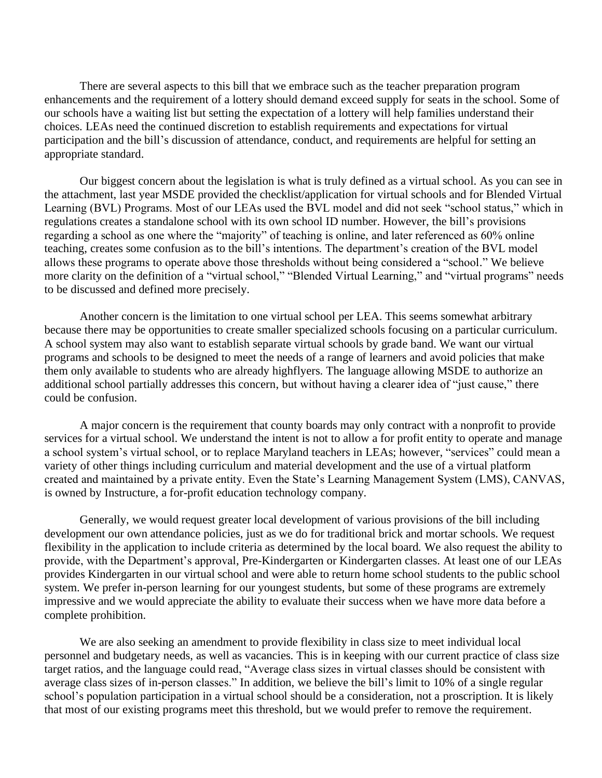There are several aspects to this bill that we embrace such as the teacher preparation program enhancements and the requirement of a lottery should demand exceed supply for seats in the school. Some of our schools have a waiting list but setting the expectation of a lottery will help families understand their choices. LEAs need the continued discretion to establish requirements and expectations for virtual participation and the bill's discussion of attendance, conduct, and requirements are helpful for setting an appropriate standard.

Our biggest concern about the legislation is what is truly defined as a virtual school. As you can see in the attachment, last year MSDE provided the checklist/application for virtual schools and for Blended Virtual Learning (BVL) Programs. Most of our LEAs used the BVL model and did not seek "school status," which in regulations creates a standalone school with its own school ID number. However, the bill's provisions regarding a school as one where the "majority" of teaching is online, and later referenced as 60% online teaching, creates some confusion as to the bill's intentions. The department's creation of the BVL model allows these programs to operate above those thresholds without being considered a "school." We believe more clarity on the definition of a "virtual school," "Blended Virtual Learning," and "virtual programs" needs to be discussed and defined more precisely.

Another concern is the limitation to one virtual school per LEA. This seems somewhat arbitrary because there may be opportunities to create smaller specialized schools focusing on a particular curriculum. A school system may also want to establish separate virtual schools by grade band. We want our virtual programs and schools to be designed to meet the needs of a range of learners and avoid policies that make them only available to students who are already highflyers. The language allowing MSDE to authorize an additional school partially addresses this concern, but without having a clearer idea of "just cause," there could be confusion.

A major concern is the requirement that county boards may only contract with a nonprofit to provide services for a virtual school. We understand the intent is not to allow a for profit entity to operate and manage a school system's virtual school, or to replace Maryland teachers in LEAs; however, "services" could mean a variety of other things including curriculum and material development and the use of a virtual platform created and maintained by a private entity. Even the State's Learning Management System (LMS), CANVAS, is owned by Instructure, a for-profit education technology company*.*

Generally, we would request greater local development of various provisions of the bill including development our own attendance policies, just as we do for traditional brick and mortar schools. We request flexibility in the application to include criteria as determined by the local board. We also request the ability to provide, with the Department's approval, Pre-Kindergarten or Kindergarten classes. At least one of our LEAs provides Kindergarten in our virtual school and were able to return home school students to the public school system. We prefer in-person learning for our youngest students, but some of these programs are extremely impressive and we would appreciate the ability to evaluate their success when we have more data before a complete prohibition.

We are also seeking an amendment to provide flexibility in class size to meet individual local personnel and budgetary needs, as well as vacancies. This is in keeping with our current practice of class size target ratios, and the language could read, "Average class sizes in virtual classes should be consistent with average class sizes of in-person classes." In addition, we believe the bill's limit to 10% of a single regular school's population participation in a virtual school should be a consideration, not a proscription. It is likely that most of our existing programs meet this threshold, but we would prefer to remove the requirement.